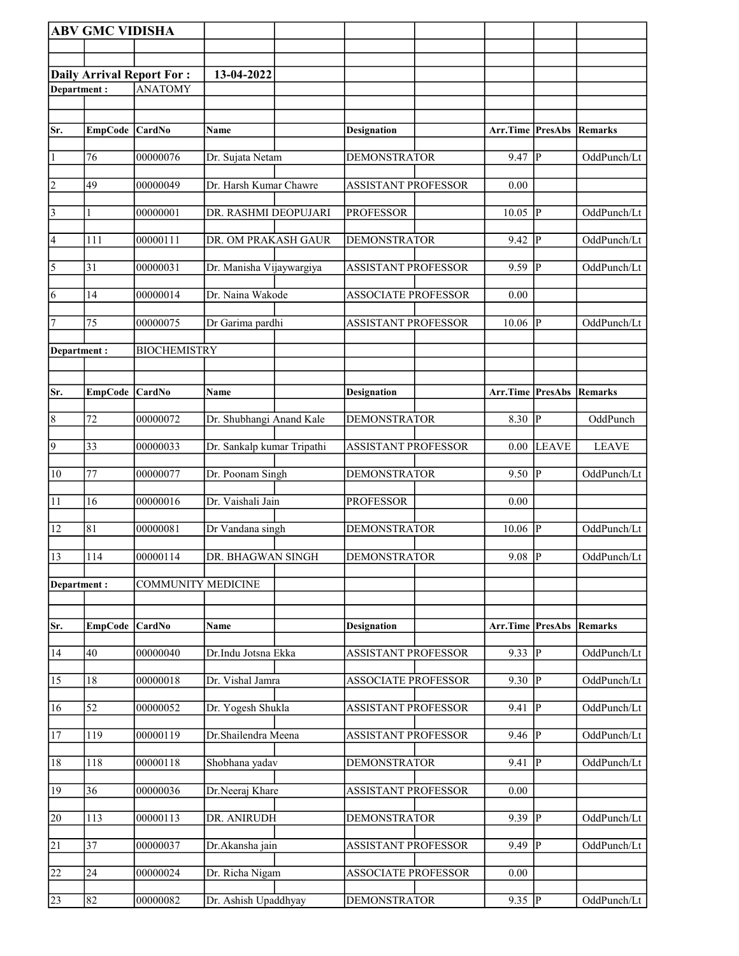|                         | <b>ABV GMC VIDISHA</b> |                                  |                            |                            |                         |                         |              |
|-------------------------|------------------------|----------------------------------|----------------------------|----------------------------|-------------------------|-------------------------|--------------|
|                         |                        |                                  |                            |                            |                         |                         |              |
|                         |                        | <b>Daily Arrival Report For:</b> | 13-04-2022                 |                            |                         |                         |              |
| Department:             |                        | <b>ANATOMY</b>                   |                            |                            |                         |                         |              |
|                         |                        |                                  |                            |                            |                         |                         |              |
| Sr.                     | EmpCode CardNo         |                                  | Name                       | <b>Designation</b>         | <b>Arr.Time PresAbs</b> |                         | Remarks      |
| 1                       | 76                     | 00000076                         | Dr. Sujata Netam           | <b>DEMONSTRATOR</b>        | 9.47                    | P                       | OddPunch/Lt  |
| $\overline{2}$          | 49                     | 00000049                         | Dr. Harsh Kumar Chawre     | <b>ASSISTANT PROFESSOR</b> | 0.00                    |                         |              |
| $\overline{\mathbf{3}}$ | 1                      | 00000001                         | DR. RASHMI DEOPUJARI       | <b>PROFESSOR</b>           | 10.05                   | <sup> </sup> P          | OddPunch/Lt  |
| 4                       | 111                    | 00000111                         | DR. OM PRAKASH GAUR        | <b>DEMONSTRATOR</b>        | 9.42                    | IР                      | OddPunch/Lt  |
| $\overline{\sqrt{5}}$   | 31                     | 00000031                         | Dr. Manisha Vijaywargiya   | <b>ASSISTANT PROFESSOR</b> | 9.59                    | ∣P                      | OddPunch/Lt  |
| 6                       | 14                     | 00000014                         | Dr. Naina Wakode           | <b>ASSOCIATE PROFESSOR</b> | 0.00                    |                         |              |
| 7                       | 75                     | 00000075                         | Dr Garima pardhi           | <b>ASSISTANT PROFESSOR</b> | 10.06                   | IР                      | OddPunch/Lt  |
| Department:             |                        | <b>BIOCHEMISTRY</b>              |                            |                            |                         |                         |              |
|                         |                        |                                  |                            |                            |                         |                         |              |
| Sr.                     | <b>EmpCode</b>         | CardNo                           | Name                       | <b>Designation</b>         | Arr.Time                | PresAbs                 | Remarks      |
|                         |                        |                                  |                            |                            |                         |                         |              |
| $\overline{8}$          | 72                     | 00000072                         | Dr. Shubhangi Anand Kale   | <b>DEMONSTRATOR</b>        | 8.30                    | $\overline{\mathbb{P}}$ | OddPunch     |
| $\overline{9}$          | $ 33\rangle$           | 00000033                         | Dr. Sankalp kumar Tripathi | ASSISTANT PROFESSOR        | 0.00                    | <b>LEAVE</b>            | <b>LEAVE</b> |
| 10                      | 77                     | 00000077                         | Dr. Poonam Singh           | <b>DEMONSTRATOR</b>        | 9.50                    | P                       | OddPunch/Lt  |
| $\overline{11}$         | 16                     | 00000016                         | Dr. Vaishali Jain          | <b>PROFESSOR</b>           | 0.00                    |                         |              |
| 12                      | 81                     | 00000081                         | Dr Vandana singh           | <b>DEMONSTRATOR</b>        | 10.06                   | P                       | OddPunch/Lt  |
| 13                      | 114                    | 00000114                         | DR. BHAGWAN SINGH          | <b>DEMONSTRATOR</b>        | 9.08   P                |                         | OddPunch/Lt  |
| Department:             |                        | <b>COMMUNITY MEDICINE</b>        |                            |                            |                         |                         |              |
|                         |                        |                                  |                            |                            |                         |                         |              |
| Sr.                     | <b>EmpCode</b>         | CardNo                           | <b>Name</b>                | <b>Designation</b>         | Arr.Time PresAbs        |                         | Remarks      |
| 14                      | 40                     | 00000040                         | Dr.Indu Jotsna Ekka        | <b>ASSISTANT PROFESSOR</b> | 9.33                    | $ {\bf p} $             | OddPunch/Lt  |
| 15                      | 18                     | 00000018                         | Dr. Vishal Jamra           | <b>ASSOCIATE PROFESSOR</b> | 9.30                    | $\overline{P}$          | OddPunch/Lt  |
| 16                      | 52                     | 00000052                         | Dr. Yogesh Shukla          | <b>ASSISTANT PROFESSOR</b> | 9.41                    | p                       | OddPunch/Lt  |
| <sup>17</sup>           | 119                    | 00000119                         | Dr.Shailendra Meena        | <b>ASSISTANT PROFESSOR</b> | 9.46                    | IР                      | OddPunch/Lt  |
| 18                      | 118                    | 00000118                         | Shobhana yadav             | <b>DEMONSTRATOR</b>        | 9.41                    | lР                      | OddPunch/Lt  |
| 19                      | 36                     | 00000036                         | Dr.Neeraj Khare            | <b>ASSISTANT PROFESSOR</b> | 0.00                    |                         |              |
| 20                      | 113                    | 00000113                         | DR. ANIRUDH                | <b>DEMONSTRATOR</b>        | 9.39                    | <sup> </sup> P          | OddPunch/Lt  |
| $\overline{21}$         | $\overline{37}$        | 00000037                         | Dr.Akansha jain            | <b>ASSISTANT PROFESSOR</b> | 9.49                    | P                       | OddPunch/Lt  |
| 22                      | 24                     | 00000024                         | Dr. Richa Nigam            | <b>ASSOCIATE PROFESSOR</b> | 0.00                    |                         |              |
| 23                      | 82                     | 00000082                         | Dr. Ashish Upaddhyay       | <b>DEMONSTRATOR</b>        | 9.35  P                 |                         | OddPunch/Lt  |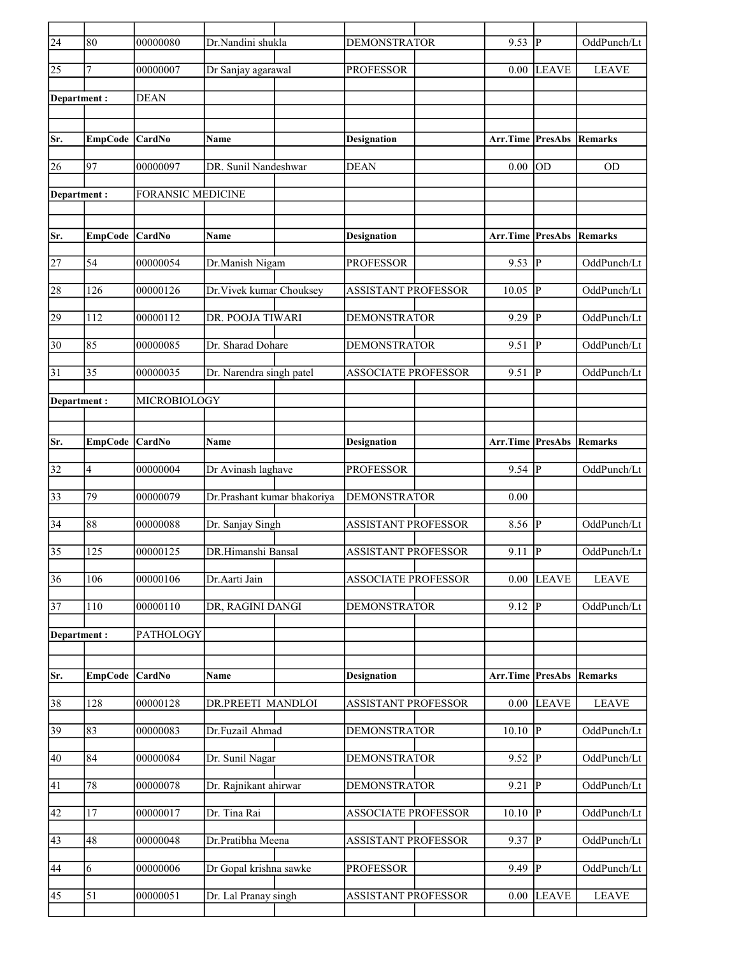| $\overline{24}$ | 80             | 00000080                 | Dr.Nandini shukla           |                    | <b>DEMONSTRATOR</b> |                            | 9.53             | P                      | OddPunch/Lt    |
|-----------------|----------------|--------------------------|-----------------------------|--------------------|---------------------|----------------------------|------------------|------------------------|----------------|
| 25              | $\tau$         | 00000007                 | Dr Sanjay agarawal          |                    | <b>PROFESSOR</b>    |                            | 0.00             | <b>LEAVE</b>           | <b>LEAVE</b>   |
| Department:     |                | <b>DEAN</b>              |                             |                    |                     |                            |                  |                        |                |
|                 |                |                          |                             |                    |                     |                            |                  |                        |                |
| Sr.             | <b>EmpCode</b> | CardNo                   | Name                        | <b>Designation</b> |                     |                            | Arr.Time         | <b>PresAbs Remarks</b> |                |
| 26              | 97             | 00000097                 | DR. Sunil Nandeshwar        | <b>DEAN</b>        |                     |                            | 0.00             | lod                    | <b>OD</b>      |
| Department :    |                | <b>FORANSIC MEDICINE</b> |                             |                    |                     |                            |                  |                        |                |
|                 |                |                          |                             |                    |                     |                            |                  |                        |                |
| Sr.             | <b>EmpCode</b> | CardNo                   | Name                        | <b>Designation</b> |                     |                            | Arr.Time         | PresAbs                | Remarks        |
| 27              | 54             | 00000054                 | Dr.Manish Nigam             |                    | <b>PROFESSOR</b>    |                            | 9.53             | $\overline{P}$         | OddPunch/Lt    |
| 28              | 126            | 00000126                 | Dr. Vivek kumar Chouksey    |                    |                     | <b>ASSISTANT PROFESSOR</b> | 10.05            | $\overline{P}$         | OddPunch/Lt    |
| 29              | 112            | 00000112                 | DR. POOJA TIWARI            |                    | <b>DEMONSTRATOR</b> |                            | 9.29             | P                      | OddPunch/Lt    |
| 30              | 85             | 00000085                 | Dr. Sharad Dohare           |                    | <b>DEMONSTRATOR</b> |                            | 9.51             | ∣P                     | OddPunch/Lt    |
|                 |                |                          |                             |                    |                     |                            |                  |                        |                |
| 31              | 35             | 00000035                 | Dr. Narendra singh patel    |                    |                     | <b>ASSOCIATE PROFESSOR</b> | 9.51             | P                      | OddPunch/Lt    |
| Department :    |                | MICROBIOLOGY             |                             |                    |                     |                            |                  |                        |                |
|                 |                |                          |                             |                    |                     |                            |                  |                        |                |
| Sr.             | <b>EmpCode</b> | <b>CardNo</b>            | Name                        | <b>Designation</b> |                     |                            | Arr.Time PresAbs |                        | Remarks        |
| 32              | $\overline{4}$ | 00000004                 | Dr Avinash laghave          |                    | <b>PROFESSOR</b>    |                            | 9.54             | IР                     | OddPunch/Lt    |
| 33              | 79             | 00000079                 | Dr.Prashant kumar bhakoriya |                    | <b>DEMONSTRATOR</b> |                            | 0.00             |                        |                |
| 34              | 88             | 00000088                 | Dr. Sanjay Singh            |                    |                     | ASSISTANT PROFESSOR        | 8.56             | $\overline{P}$         | OddPunch/Lt    |
| 35              | 125            | 00000125                 | DR.Himanshi Bansal          |                    |                     | <b>ASSISTANT PROFESSOR</b> | 9.11             | p                      | OddPunch/Lt    |
| 36              | 106            | 00000106                 | Dr.Aarti Jain               |                    |                     | <b>ASSOCIATE PROFESSOR</b> | 0.00             | <b>LEAVE</b>           | <b>LEAVE</b>   |
| 37              | 110            | 00000110                 | DR, RAGINI DANGI            |                    | DEMONSTRATOR        |                            | 9.12             | P                      | OddPunch/Lt    |
| Department:     |                | PATHOLOGY                |                             |                    |                     |                            |                  |                        |                |
|                 |                |                          |                             |                    |                     |                            |                  |                        |                |
| Sr.             | <b>EmpCode</b> | CardNo                   | Name                        | <b>Designation</b> |                     |                            | Arr.Time PresAbs |                        | <b>Remarks</b> |
| 38              | 128            | 00000128                 | DR.PREETI MANDLOI           |                    |                     | ASSISTANT PROFESSOR        | 0.00             | <b>LEAVE</b>           | <b>LEAVE</b>   |
| 39              | 83             | 00000083                 | Dr.Fuzail Ahmad             |                    | <b>DEMONSTRATOR</b> |                            | $10.10$ P        |                        | OddPunch/Lt    |
| 40              | 84             | 00000084                 | Dr. Sunil Nagar             |                    | <b>DEMONSTRATOR</b> |                            | 9.52   P         |                        | OddPunch/Lt    |
| 41              | 78             | 00000078                 | Dr. Rajnikant ahirwar       |                    | DEMONSTRATOR        |                            | 9.21             | lР                     | OddPunch/Lt    |
|                 |                |                          |                             |                    |                     |                            |                  |                        |                |
| 42              | 17             | 00000017                 | Dr. Tina Rai                |                    |                     | <b>ASSOCIATE PROFESSOR</b> | 10.10            | p                      | OddPunch/Lt    |
| 43              | 48             | 00000048                 | Dr.Pratibha Meena           |                    |                     | ASSISTANT PROFESSOR        | 9.37             | P                      | OddPunch/Lt    |
| 44              | 6              | 00000006                 | Dr Gopal krishna sawke      |                    | <b>PROFESSOR</b>    |                            | 9.49             | P                      | OddPunch/Lt    |
| $ 45\rangle$    | 51             | 00000051                 | Dr. Lal Pranay singh        |                    |                     | <b>ASSISTANT PROFESSOR</b> | 0.00             | <b>LEAVE</b>           | <b>LEAVE</b>   |
|                 |                |                          |                             |                    |                     |                            |                  |                        |                |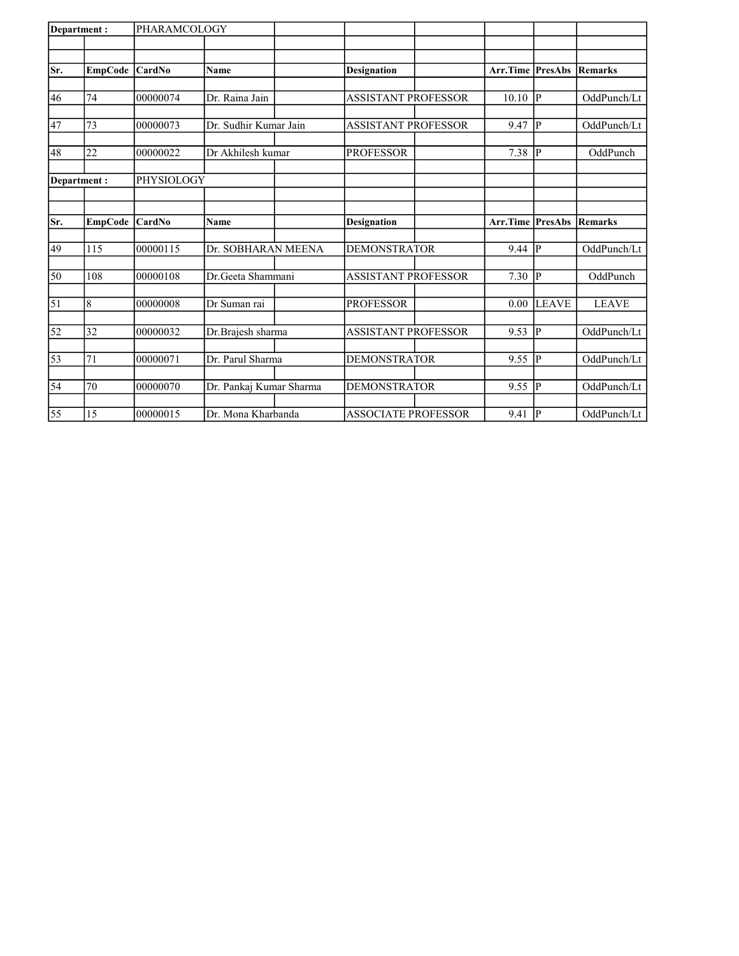| Department:     |                | PHARAMCOLOGY  |                         |                            |                         |              |                |
|-----------------|----------------|---------------|-------------------------|----------------------------|-------------------------|--------------|----------------|
|                 |                |               |                         |                            |                         |              |                |
| Sr.             | <b>EmpCode</b> | <b>CardNo</b> | Name                    | <b>Designation</b>         | <b>Arr.Time PresAbs</b> |              | <b>Remarks</b> |
|                 |                |               |                         |                            |                         |              |                |
| 46              | 74             | 00000074      | Dr. Raina Jain          | <b>ASSISTANT PROFESSOR</b> | 10.10                   | P            | OddPunch/Lt    |
| 47              | 73             | 00000073      | Dr. Sudhir Kumar Jain   | <b>ASSISTANT PROFESSOR</b> | 9.47                    | P            | OddPunch/Lt    |
| 48              | 22             | 00000022      | Dr Akhilesh kumar       | <b>PROFESSOR</b>           | 7.38                    | lР           | OddPunch       |
|                 |                |               |                         |                            |                         |              |                |
| Department:     |                | PHYSIOLOGY    |                         |                            |                         |              |                |
|                 |                |               |                         |                            |                         |              |                |
| Sr.             | <b>EmpCode</b> | CardNo        | <b>Name</b>             | <b>Designation</b>         | <b>Arr.Time PresAbs</b> |              | <b>Remarks</b> |
| 49              | 115            | 00000115      | Dr. SOBHARAN MEENA      | <b>DEMONSTRATOR</b>        | 9.44                    | IР           | OddPunch/Lt    |
|                 |                |               |                         |                            |                         |              |                |
| 50              | 108            | 00000108      | Dr. Geeta Shammani      | <b>ASSISTANT PROFESSOR</b> | 7.30                    | lP.          | OddPunch       |
| 51              | 8              | 00000008      | Dr Suman rai            | <b>PROFESSOR</b>           | 0.00                    | <b>LEAVE</b> | <b>LEAVE</b>   |
| 52              | 32             | 00000032      | Dr.Brajesh sharma       | <b>ASSISTANT PROFESSOR</b> | 9.53                    | lр           | OddPunch/Lt    |
|                 |                |               |                         |                            |                         |              |                |
| $\overline{53}$ | 71             | 00000071      | Dr. Parul Sharma        | <b>DEMONSTRATOR</b>        | 9.55                    | IР           | OddPunch/Lt    |
| 54              | 70             | 00000070      | Dr. Pankaj Kumar Sharma | <b>DEMONSTRATOR</b>        | 9.55                    | IР           | OddPunch/Lt    |
|                 |                |               |                         |                            |                         |              |                |
| 55              | 15             | 00000015      | Dr. Mona Kharbanda      | <b>ASSOCIATE PROFESSOR</b> | 9.41                    | p            | OddPunch/Lt    |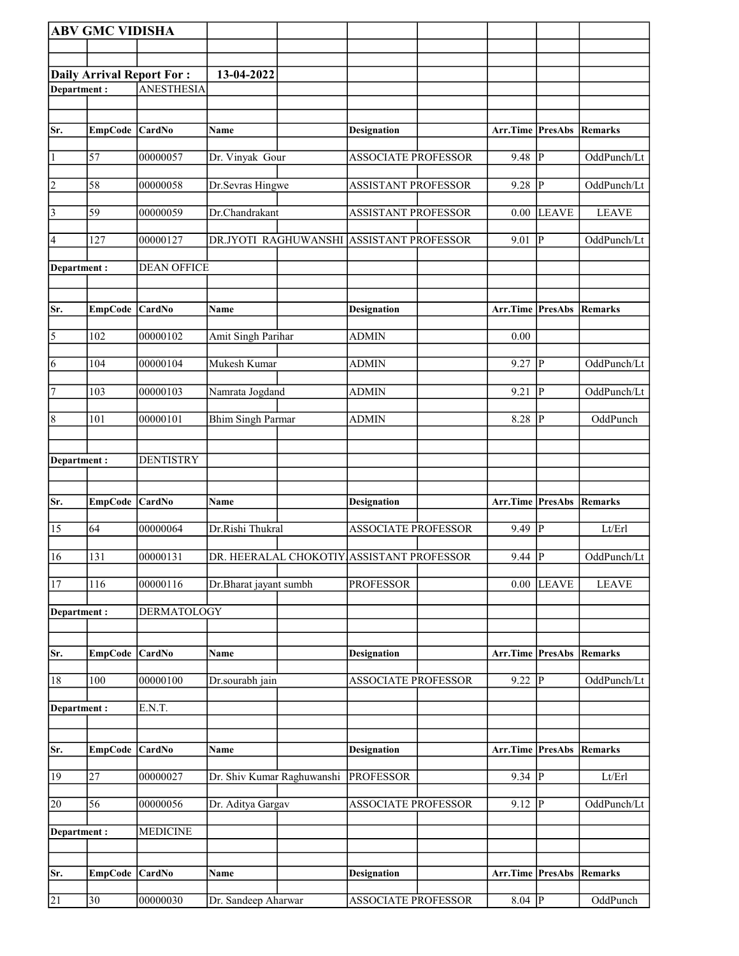|                                          | <b>ABV GMC VIDISHA</b> |                    |                            |                                           |                          |                         |              |
|------------------------------------------|------------------------|--------------------|----------------------------|-------------------------------------------|--------------------------|-------------------------|--------------|
|                                          |                        |                    |                            |                                           |                          |                         |              |
|                                          |                        |                    | 13-04-2022                 |                                           |                          |                         |              |
| Daily Arrival Report For:<br>Department: |                        | <b>ANESTHESIA</b>  |                            |                                           |                          |                         |              |
|                                          |                        |                    |                            |                                           |                          |                         |              |
| Sr.                                      | <b>EmpCode</b>         | CardNo             | <b>Name</b>                | <b>Designation</b>                        | Arr.Time PresAbs         |                         | Remarks      |
|                                          |                        |                    |                            |                                           |                          |                         |              |
| $\vert$ 1                                | 57                     | 00000057           | Dr. Vinyak Gour            | <b>ASSOCIATE PROFESSOR</b>                | 9.48                     | ${\bf P}$               | OddPunch/Lt  |
| 2                                        | 58                     | 00000058           | Dr.Sevras Hingwe           | <b>ASSISTANT PROFESSOR</b>                | 9.28                     | $\mathbf{P}$            | OddPunch/Lt  |
| $\vert$ 3                                | 59                     | 00000059           | Dr.Chandrakant             | <b>ASSISTANT PROFESSOR</b>                | 0.00                     | <b>LEAVE</b>            | <b>LEAVE</b> |
| $\vert 4 \vert$                          | 127                    | 00000127           | DR.JYOTI RAGHUWANSHI       | ASSISTANT PROFESSOR                       | 9.01                     | P                       | OddPunch/Lt  |
| Department :                             |                        | <b>DEAN OFFICE</b> |                            |                                           |                          |                         |              |
|                                          |                        |                    |                            |                                           |                          |                         |              |
| Sr.                                      |                        | CardNo             |                            |                                           |                          |                         |              |
|                                          | <b>EmpCode</b>         |                    | Name                       | <b>Designation</b>                        | Arr.Time                 | PresAbs                 | Remarks      |
| $\overline{\mathbf{5}}$                  | 102                    | 00000102           | Amit Singh Parihar         | <b>ADMIN</b>                              | 0.00                     |                         |              |
| 6                                        | 104                    | 00000104           | Mukesh Kumar               | <b>ADMIN</b>                              | 9.27                     | $\mathbf{P}$            | OddPunch/Lt  |
| 7                                        | 103                    | 00000103           | Namrata Jogdand            | <b>ADMIN</b>                              | 9.21                     | P                       | OddPunch/Lt  |
| $\vert 8$                                | 101                    | 00000101           | <b>Bhim Singh Parmar</b>   | <b>ADMIN</b>                              | 8.28                     | P                       | OddPunch     |
|                                          |                        |                    |                            |                                           |                          |                         |              |
| Department :                             |                        | <b>DENTISTRY</b>   |                            |                                           |                          |                         |              |
|                                          |                        |                    |                            |                                           |                          |                         |              |
| Sr.                                      | <b>EmpCode</b>         | CardNo             | Name                       | <b>Designation</b>                        | Arr.Time                 | PresAbs                 | Remarks      |
| 15                                       | 64                     | 00000064           | Dr.Rishi Thukral           | <b>ASSOCIATE PROFESSOR</b>                | 9.49                     | $\mathbf{P}$            | Lt/Erl       |
| 16                                       | 131                    | 00000131           |                            | DR. HEERALAL CHOKOTIY ASSISTANT PROFESSOR | $9.44$ $\overline{P}$    |                         | OddPunch/Lt  |
| 17                                       | 116                    | 00000116           | Dr.Bharat jayant sumbh     | <b>PROFESSOR</b>                          | 0.00                     | <b>LEAVE</b>            | <b>LEAVE</b> |
| Department:                              |                        | <b>DERMATOLOGY</b> |                            |                                           |                          |                         |              |
|                                          |                        |                    |                            |                                           |                          |                         |              |
| Sr.                                      | <b>EmpCode</b>         | CardNo             | Name                       | <b>Designation</b>                        | Arr.Time                 | <b>PresAbs</b>          | Remarks      |
| 18                                       | 100                    | 00000100           | Dr.sourabh jain            | <b>ASSOCIATE PROFESSOR</b>                | 9.22                     | $\overline{\mathbf{P}}$ | OddPunch/Lt  |
| Department:                              |                        | E.N.T.             |                            |                                           |                          |                         |              |
|                                          |                        |                    |                            |                                           |                          |                         |              |
| Sr.                                      | <b>EmpCode</b>         | CardNo             | Name                       | <b>Designation</b>                        | Arr.Time PresAbs Remarks |                         |              |
| 19                                       | 27                     | 00000027           | Dr. Shiv Kumar Raghuwanshi | <b>PROFESSOR</b>                          | 9.34                     | $\mathbf{P}$            | Lt/Erl       |
| 20                                       | 56                     | 00000056           | Dr. Aditya Gargav          | ASSOCIATE PROFESSOR                       | 9.12                     | P                       | OddPunch/Lt  |
| Department:                              |                        | <b>MEDICINE</b>    |                            |                                           |                          |                         |              |
|                                          |                        |                    |                            |                                           |                          |                         |              |
|                                          |                        |                    |                            |                                           |                          |                         |              |
| Sr.                                      | <b>EmpCode</b>         | CardNo             | <b>Name</b>                | <b>Designation</b>                        | Arr.Time                 | <b>PresAbs</b>          | Remarks      |
|                                          |                        |                    |                            |                                           |                          |                         |              |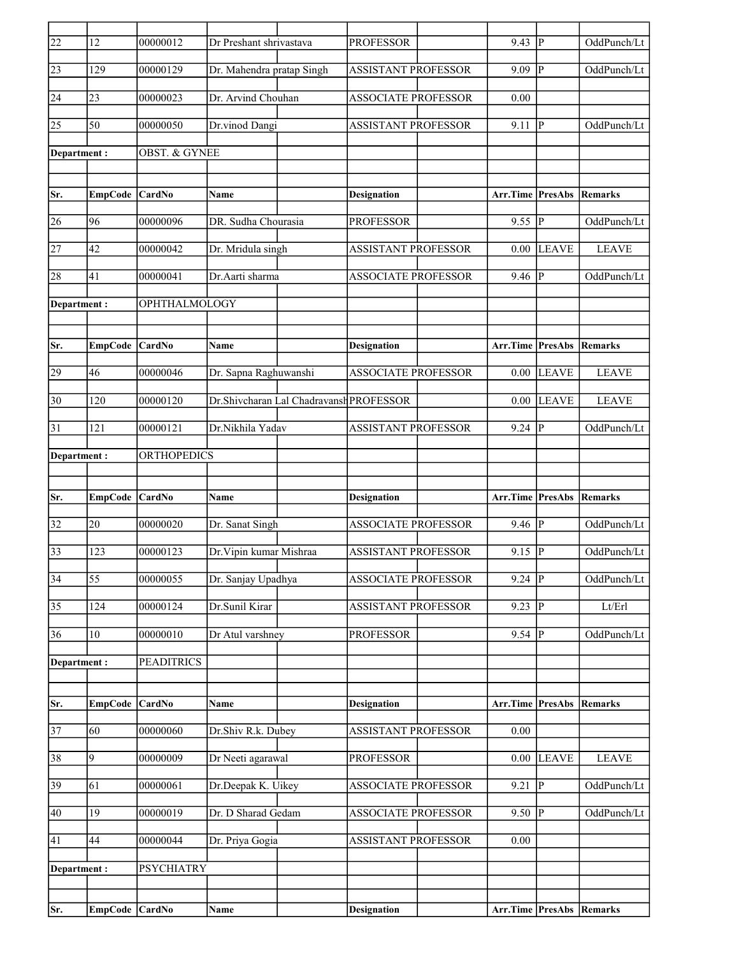| 22              | 12              | 00000012                 | Dr Preshant shrivastava   |                                         | <b>PROFESSOR</b>           | 9.43                            | P              | OddPunch/Lt  |
|-----------------|-----------------|--------------------------|---------------------------|-----------------------------------------|----------------------------|---------------------------------|----------------|--------------|
| 23              | 129             | 00000129                 | Dr. Mahendra pratap Singh |                                         | <b>ASSISTANT PROFESSOR</b> | 9.09                            | P              | OddPunch/Lt  |
| 24              | 23              | 00000023                 | Dr. Arvind Chouhan        |                                         | <b>ASSOCIATE PROFESSOR</b> | 0.00                            |                |              |
| 25              | 50              | 00000050                 | Dr.vinod Dangi            |                                         | <b>ASSISTANT PROFESSOR</b> | 9.11                            | P              | OddPunch/Lt  |
| Department:     |                 | <b>OBST. &amp; GYNEE</b> |                           |                                         |                            |                                 |                |              |
|                 |                 |                          |                           |                                         |                            |                                 |                |              |
| Sr.             | <b>EmpCode</b>  | <b>CardNo</b>            | <b>Name</b>               |                                         | <b>Designation</b>         | Arr.Time PresAbs                |                | Remarks      |
| 26              | 96              | 00000096                 | DR. Sudha Chourasia       |                                         | <b>PROFESSOR</b>           | $9.55$ P                        |                | OddPunch/Lt  |
| 27              | 42              | 00000042                 | Dr. Mridula singh         |                                         | <b>ASSISTANT PROFESSOR</b> | 0.00                            | <b>LEAVE</b>   | <b>LEAVE</b> |
| 28              | 41              | 00000041                 | Dr. Aarti sharma          |                                         | <b>ASSOCIATE PROFESSOR</b> | 9.46                            | $\overline{P}$ | OddPunch/Lt  |
| Department:     |                 | OPHTHALMOLOGY            |                           |                                         |                            |                                 |                |              |
|                 |                 |                          |                           |                                         |                            |                                 |                |              |
| Sr.             | EmpCode         | CardNo                   | <b>Name</b>               |                                         | <b>Designation</b>         | Arr.Time                        | PresAbs        | Remarks      |
| 29              | 46              | 00000046                 | Dr. Sapna Raghuwanshi     |                                         | <b>ASSOCIATE PROFESSOR</b> | 0.00                            | <b>LEAVE</b>   | <b>LEAVE</b> |
| 30              | 120             | 00000120                 |                           | Dr.Shivcharan Lal Chadravansh PROFESSOR |                            | 0.00                            | <b>LEAVE</b>   | <b>LEAVE</b> |
| $\overline{31}$ | 121             | 00000121                 | Dr.Nikhila Yadav          |                                         | <b>ASSISTANT PROFESSOR</b> | 9.24                            | lр             | OddPunch/Lt  |
| Department :    |                 | ORTHOPEDICS              |                           |                                         |                            |                                 |                |              |
|                 |                 |                          |                           |                                         |                            |                                 |                |              |
| Sr.             | EmpCode CardNo  |                          | Name                      |                                         | <b>Designation</b>         | <b>Arr.Time PresAbs Remarks</b> |                |              |
| 32              | 20              | 00000020                 | Dr. Sanat Singh           |                                         | <b>ASSOCIATE PROFESSOR</b> | 9.46                            | P              | OddPunch/Lt  |
| 33              | 123             | 00000123                 | Dr. Vipin kumar Mishraa   |                                         | <b>ASSISTANT PROFESSOR</b> | 9.15                            | P              | OddPunch/Lt  |
| $\overline{34}$ | $\overline{55}$ | 00000055                 | Dr. Sanjay Upadhya        |                                         | <b>ASSOCIATE PROFESSOR</b> | $9.24$ P                        |                | OddPunch/Lt  |
| 35              | 124             | 00000124                 | Dr.Sunil Kirar            |                                         | <b>ASSISTANT PROFESSOR</b> | 9.23                            | <sup> </sup> P | Lt/Erl       |
| 36              | 10              | 00000010                 | Dr Atul varshney          |                                         | <b>PROFESSOR</b>           | $9.54 \overline{P}$             |                | OddPunch/Lt  |
| Department:     |                 | <b>PEADITRICS</b>        |                           |                                         |                            |                                 |                |              |
|                 |                 |                          |                           |                                         |                            |                                 |                |              |
| Sr.             | <b>EmpCode</b>  | CardNo                   | Name                      |                                         | <b>Designation</b>         | <b>Arr.Time PresAbs Remarks</b> |                |              |
| $\overline{37}$ | $\overline{60}$ | 00000060                 | Dr.Shiv R.k. Dubey        |                                         | <b>ASSISTANT PROFESSOR</b> | 0.00                            |                |              |
| 38              | 9               | 00000009                 | Dr Neeti agarawal         |                                         | <b>PROFESSOR</b>           | 0.00                            | <b>LEAVE</b>   | <b>LEAVE</b> |
| 39              | 61              | 00000061                 | Dr.Deepak K. Uikey        |                                         | <b>ASSOCIATE PROFESSOR</b> | 9.21                            | lР             | OddPunch/Lt  |
| 40              | 19              | 00000019                 | Dr. D Sharad Gedam        |                                         | <b>ASSOCIATE PROFESSOR</b> | 9.50                            | <sup> </sup> P | OddPunch/Lt  |
| $\overline{41}$ | 44              | 00000044                 | Dr. Priya Gogia           |                                         | <b>ASSISTANT PROFESSOR</b> | 0.00                            |                |              |
| Department :    |                 | <b>PSYCHIATRY</b>        |                           |                                         |                            |                                 |                |              |
|                 |                 |                          |                           |                                         |                            |                                 |                |              |
| Sr.             | EmpCode CardNo  |                          | Name                      |                                         | <b>Designation</b>         | Arr.Time PresAbs Remarks        |                |              |